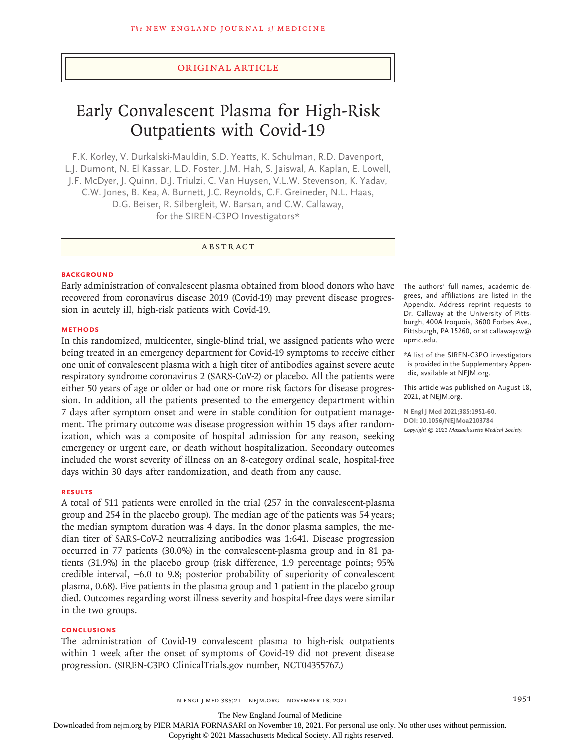#### Original Article

# Early Convalescent Plasma for High-Risk Outpatients with Covid-19

F.K. Korley, V. Durkalski-Mauldin, S.D. Yeatts, K. Schulman, R.D. Davenport, L.J. Dumont, N. El Kassar, L.D. Foster, J.M. Hah, S. Jaiswal, A. Kaplan, E. Lowell, J.F. McDyer, J. Quinn, D.J. Triulzi, C. Van Huysen, V.L.W. Stevenson, K. Yadav, C.W. Jones, B. Kea, A. Burnett, J.C. Reynolds, C.F. Greineder, N.L. Haas, D.G. Beiser, R. Silbergleit, W. Barsan, and C.W. Callaway, for the SIREN-C3PO Investigators\*

# ABSTRACT

#### **BACKGROUND**

Early administration of convalescent plasma obtained from blood donors who have recovered from coronavirus disease 2019 (Covid-19) may prevent disease progression in acutely ill, high-risk patients with Covid-19.

#### **METHODS**

In this randomized, multicenter, single-blind trial, we assigned patients who were being treated in an emergency department for Covid-19 symptoms to receive either one unit of convalescent plasma with a high titer of antibodies against severe acute respiratory syndrome coronavirus 2 (SARS-CoV-2) or placebo. All the patients were either 50 years of age or older or had one or more risk factors for disease progression. In addition, all the patients presented to the emergency department within 7 days after symptom onset and were in stable condition for outpatient management. The primary outcome was disease progression within 15 days after randomization, which was a composite of hospital admission for any reason, seeking emergency or urgent care, or death without hospitalization. Secondary outcomes included the worst severity of illness on an 8-category ordinal scale, hospital-free days within 30 days after randomization, and death from any cause.

## **RESULTS**

A total of 511 patients were enrolled in the trial (257 in the convalescent-plasma group and 254 in the placebo group). The median age of the patients was 54 years; the median symptom duration was 4 days. In the donor plasma samples, the median titer of SARS-CoV-2 neutralizing antibodies was 1:641. Disease progression occurred in 77 patients (30.0%) in the convalescent-plasma group and in 81 patients (31.9%) in the placebo group (risk difference, 1.9 percentage points; 95% credible interval, −6.0 to 9.8; posterior probability of superiority of convalescent plasma, 0.68). Five patients in the plasma group and 1 patient in the placebo group died. Outcomes regarding worst illness severity and hospital-free days were similar in the two groups.

# **CONCLUSIONS**

The administration of Covid-19 convalescent plasma to high-risk outpatients within 1 week after the onset of symptoms of Covid-19 did not prevent disease progression. (SIREN-C3PO ClinicalTrials.gov number, NCT04355767.)

The authors' full names, academic degrees, and affiliations are listed in the Appendix. Address reprint requests to Dr. Callaway at the University of Pittsburgh, 400A Iroquois, 3600 Forbes Ave., Pittsburgh, PA 15260, or at callawaycw@ upmc.edu.

\*A list of the SIREN-C3PO investigators is provided in the Supplementary Appendix, available at NEJM.org.

This article was published on August 18, 2021, at NEJM.org.

**N Engl J Med 2021;385:1951-60. DOI: 10.1056/NEJMoa2103784** *Copyright © 2021 Massachusetts Medical Society.*

n engl j med 385;21 nejm.org November 18, 2021 1951 1951

The New England Journal of Medicine

Downloaded from nejm.org by PIER MARIA FORNASARI on November 18, 2021. For personal use only. No other uses without permission.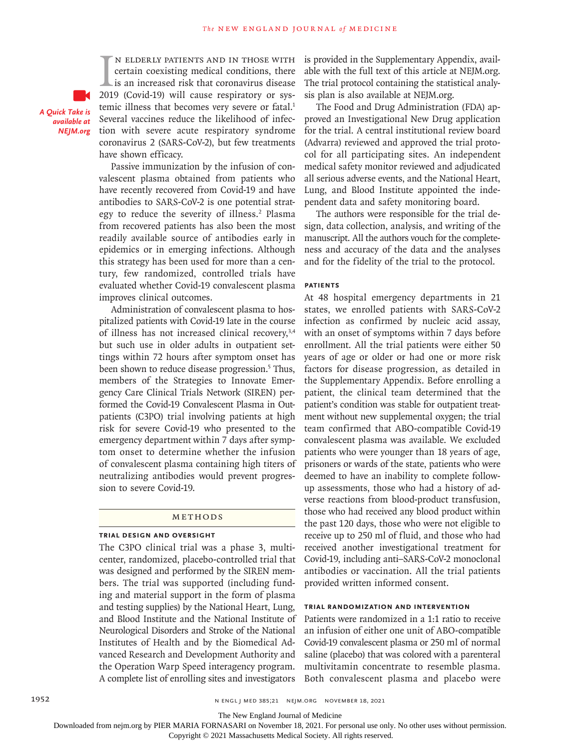IN ELDERLY PATIENTS AND IN THOSE WITH<br>certain coexisting medical conditions, there<br>is an increased risk that coronavirus disease<br>2019 (Covid-19) will cause respiratory or sysn elderly patients and in those with certain coexisting medical conditions, there is an increased risk that coronavirus disease temic illness that becomes very severe or fatal.<sup>1</sup> Several vaccines reduce the likelihood of infection with severe acute respiratory syndrome coronavirus 2 (SARS-CoV-2), but few treatments have shown efficacy.

*A Quick Take is available at NEJM.org*

> Passive immunization by the infusion of convalescent plasma obtained from patients who have recently recovered from Covid-19 and have antibodies to SARS-CoV-2 is one potential strategy to reduce the severity of illness.<sup>2</sup> Plasma from recovered patients has also been the most readily available source of antibodies early in epidemics or in emerging infections. Although this strategy has been used for more than a century, few randomized, controlled trials have evaluated whether Covid-19 convalescent plasma improves clinical outcomes.

> Administration of convalescent plasma to hospitalized patients with Covid-19 late in the course of illness has not increased clinical recovery,<sup>3,4</sup> but such use in older adults in outpatient settings within 72 hours after symptom onset has been shown to reduce disease progression.<sup>5</sup> Thus, members of the Strategies to Innovate Emergency Care Clinical Trials Network (SIREN) performed the Covid-19 Convalescent Plasma in Outpatients (C3PO) trial involving patients at high risk for severe Covid-19 who presented to the emergency department within 7 days after symptom onset to determine whether the infusion of convalescent plasma containing high titers of neutralizing antibodies would prevent progression to severe Covid-19.

# Methods

#### **Trial Design and Oversight**

The C3PO clinical trial was a phase 3, multicenter, randomized, placebo-controlled trial that was designed and performed by the SIREN members. The trial was supported (including funding and material support in the form of plasma and testing supplies) by the National Heart, Lung, and Blood Institute and the National Institute of Neurological Disorders and Stroke of the National Institutes of Health and by the Biomedical Advanced Research and Development Authority and the Operation Warp Speed interagency program. A complete list of enrolling sites and investigators

is provided in the Supplementary Appendix, available with the full text of this article at NEJM.org. The trial protocol containing the statistical analysis plan is also available at NEJM.org.

The Food and Drug Administration (FDA) approved an Investigational New Drug application for the trial. A central institutional review board (Advarra) reviewed and approved the trial protocol for all participating sites. An independent medical safety monitor reviewed and adjudicated all serious adverse events, and the National Heart, Lung, and Blood Institute appointed the independent data and safety monitoring board.

The authors were responsible for the trial design, data collection, analysis, and writing of the manuscript. All the authors vouch for the completeness and accuracy of the data and the analyses and for the fidelity of the trial to the protocol.

#### **Patients**

At 48 hospital emergency departments in 21 states, we enrolled patients with SARS-CoV-2 infection as confirmed by nucleic acid assay, with an onset of symptoms within 7 days before enrollment. All the trial patients were either 50 years of age or older or had one or more risk factors for disease progression, as detailed in the Supplementary Appendix. Before enrolling a patient, the clinical team determined that the patient's condition was stable for outpatient treatment without new supplemental oxygen; the trial team confirmed that ABO-compatible Covid-19 convalescent plasma was available. We excluded patients who were younger than 18 years of age, prisoners or wards of the state, patients who were deemed to have an inability to complete followup assessments, those who had a history of adverse reactions from blood-product transfusion, those who had received any blood product within the past 120 days, those who were not eligible to receive up to 250 ml of fluid, and those who had received another investigational treatment for Covid-19, including anti–SARS-CoV-2 monoclonal antibodies or vaccination. All the trial patients provided written informed consent.

#### **Trial Randomization and Intervention**

Patients were randomized in a 1:1 ratio to receive an infusion of either one unit of ABO-compatible Covid-19 convalescent plasma or 250 ml of normal saline (placebo) that was colored with a parenteral multivitamin concentrate to resemble plasma. Both convalescent plasma and placebo were

The New England Journal of Medicine

Downloaded from nejm.org by PIER MARIA FORNASARI on November 18, 2021. For personal use only. No other uses without permission.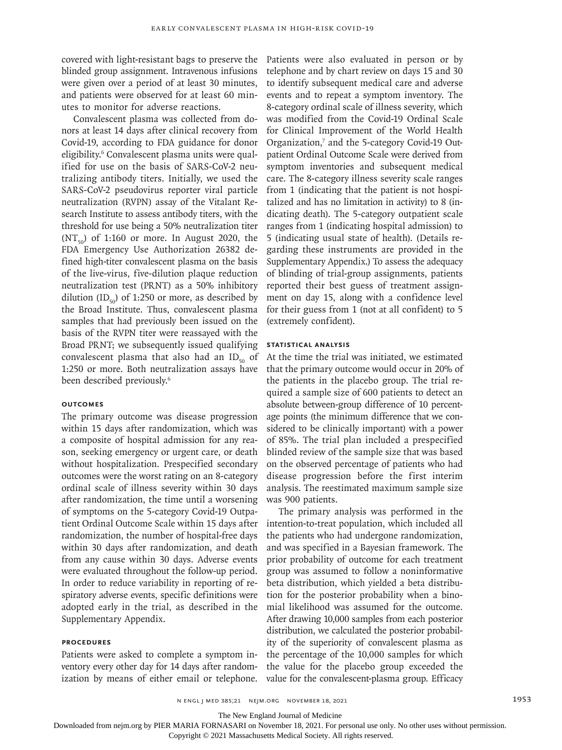covered with light-resistant bags to preserve the blinded group assignment. Intravenous infusions were given over a period of at least 30 minutes, and patients were observed for at least 60 minutes to monitor for adverse reactions.

Convalescent plasma was collected from donors at least 14 days after clinical recovery from Covid-19, according to FDA guidance for donor eligibility.<sup>6</sup> Convalescent plasma units were qualified for use on the basis of SARS-CoV-2 neutralizing antibody titers. Initially, we used the SARS-CoV-2 pseudovirus reporter viral particle neutralization (RVPN) assay of the Vitalant Research Institute to assess antibody titers, with the threshold for use being a 50% neutralization titer  $(NT<sub>so</sub>)$  of 1:160 or more. In August 2020, the FDA Emergency Use Authorization 26382 defined high-titer convalescent plasma on the basis of the live-virus, five-dilution plaque reduction neutralization test (PRNT) as a 50% inhibitory dilution  $(ID_{50})$  of 1:250 or more, as described by the Broad Institute. Thus, convalescent plasma samples that had previously been issued on the basis of the RVPN titer were reassayed with the Broad PRNT; we subsequently issued qualifying convalescent plasma that also had an  $ID_{50}$  of 1:250 or more. Both neutralization assays have been described previously.<sup>6</sup>

#### **Outcomes**

The primary outcome was disease progression within 15 days after randomization, which was a composite of hospital admission for any reason, seeking emergency or urgent care, or death without hospitalization. Prespecified secondary outcomes were the worst rating on an 8-category ordinal scale of illness severity within 30 days after randomization, the time until a worsening of symptoms on the 5-category Covid-19 Outpatient Ordinal Outcome Scale within 15 days after randomization, the number of hospital-free days within 30 days after randomization, and death from any cause within 30 days. Adverse events were evaluated throughout the follow-up period. In order to reduce variability in reporting of respiratory adverse events, specific definitions were adopted early in the trial, as described in the Supplementary Appendix.

#### **Procedures**

Patients were asked to complete a symptom inventory every other day for 14 days after randomization by means of either email or telephone.

Patients were also evaluated in person or by telephone and by chart review on days 15 and 30 to identify subsequent medical care and adverse events and to repeat a symptom inventory. The 8-category ordinal scale of illness severity, which was modified from the Covid-19 Ordinal Scale for Clinical Improvement of the World Health Organization,<sup>7</sup> and the 5-category Covid-19 Outpatient Ordinal Outcome Scale were derived from symptom inventories and subsequent medical care. The 8-category illness severity scale ranges from 1 (indicating that the patient is not hospitalized and has no limitation in activity) to 8 (indicating death). The 5-category outpatient scale ranges from 1 (indicating hospital admission) to 5 (indicating usual state of health). (Details regarding these instruments are provided in the Supplementary Appendix.) To assess the adequacy of blinding of trial-group assignments, patients reported their best guess of treatment assignment on day 15, along with a confidence level for their guess from 1 (not at all confident) to 5 (extremely confident).

#### **Statistical Analysis**

At the time the trial was initiated, we estimated that the primary outcome would occur in 20% of the patients in the placebo group. The trial required a sample size of 600 patients to detect an absolute between-group difference of 10 percentage points (the minimum difference that we considered to be clinically important) with a power of 85%. The trial plan included a prespecified blinded review of the sample size that was based on the observed percentage of patients who had disease progression before the first interim analysis. The reestimated maximum sample size was 900 patients.

The primary analysis was performed in the intention-to-treat population, which included all the patients who had undergone randomization, and was specified in a Bayesian framework. The prior probability of outcome for each treatment group was assumed to follow a noninformative beta distribution, which yielded a beta distribution for the posterior probability when a binomial likelihood was assumed for the outcome. After drawing 10,000 samples from each posterior distribution, we calculated the posterior probability of the superiority of convalescent plasma as the percentage of the 10,000 samples for which the value for the placebo group exceeded the value for the convalescent-plasma group. Efficacy

The New England Journal of Medicine

Downloaded from nejm.org by PIER MARIA FORNASARI on November 18, 2021. For personal use only. No other uses without permission.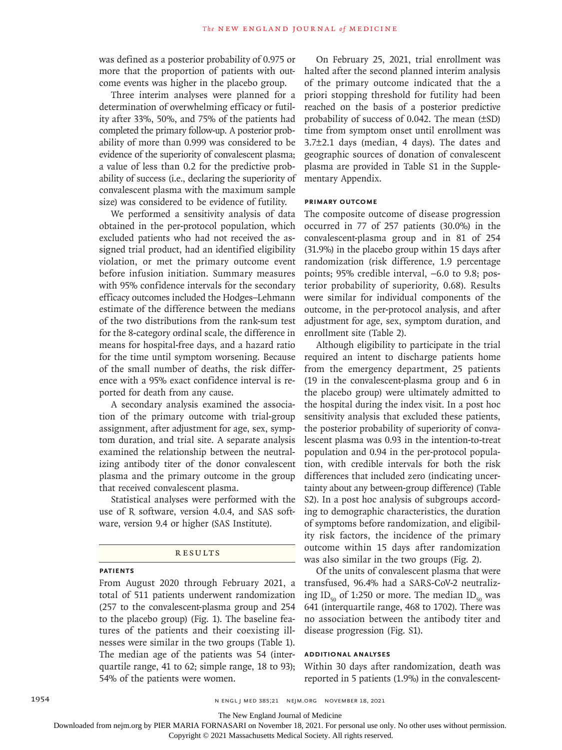was defined as a posterior probability of 0.975 or more that the proportion of patients with outcome events was higher in the placebo group.

Three interim analyses were planned for a determination of overwhelming efficacy or futility after 33%, 50%, and 75% of the patients had completed the primary follow-up. A posterior probability of more than 0.999 was considered to be evidence of the superiority of convalescent plasma; a value of less than 0.2 for the predictive probability of success (i.e., declaring the superiority of convalescent plasma with the maximum sample size) was considered to be evidence of futility.

We performed a sensitivity analysis of data obtained in the per-protocol population, which excluded patients who had not received the assigned trial product, had an identified eligibility violation, or met the primary outcome event before infusion initiation. Summary measures with 95% confidence intervals for the secondary efficacy outcomes included the Hodges–Lehmann estimate of the difference between the medians of the two distributions from the rank-sum test for the 8-category ordinal scale, the difference in means for hospital-free days, and a hazard ratio for the time until symptom worsening. Because of the small number of deaths, the risk difference with a 95% exact confidence interval is reported for death from any cause.

A secondary analysis examined the association of the primary outcome with trial-group assignment, after adjustment for age, sex, symptom duration, and trial site. A separate analysis examined the relationship between the neutralizing antibody titer of the donor convalescent plasma and the primary outcome in the group that received convalescent plasma.

Statistical analyses were performed with the use of R software, version 4.0.4, and SAS software, version 9.4 or higher (SAS Institute).

#### **RESULTS**

#### **Patients**

From August 2020 through February 2021, a total of 511 patients underwent randomization (257 to the convalescent-plasma group and 254 to the placebo group) (Fig. 1). The baseline features of the patients and their coexisting illnesses were similar in the two groups (Table 1). The median age of the patients was 54 (interquartile range, 41 to 62; simple range, 18 to 93); 54% of the patients were women.

On February 25, 2021, trial enrollment was halted after the second planned interim analysis of the primary outcome indicated that the a priori stopping threshold for futility had been reached on the basis of a posterior predictive probability of success of 0.042. The mean (±SD) time from symptom onset until enrollment was 3.7±2.1 days (median, 4 days). The dates and geographic sources of donation of convalescent plasma are provided in Table S1 in the Supplementary Appendix.

#### **Primary Outcome**

The composite outcome of disease progression occurred in 77 of 257 patients (30.0%) in the convalescent-plasma group and in 81 of 254 (31.9%) in the placebo group within 15 days after randomization (risk difference, 1.9 percentage points; 95% credible interval, −6.0 to 9.8; posterior probability of superiority, 0.68). Results were similar for individual components of the outcome, in the per-protocol analysis, and after adjustment for age, sex, symptom duration, and enrollment site (Table 2).

Although eligibility to participate in the trial required an intent to discharge patients home from the emergency department, 25 patients (19 in the convalescent-plasma group and 6 in the placebo group) were ultimately admitted to the hospital during the index visit. In a post hoc sensitivity analysis that excluded these patients, the posterior probability of superiority of convalescent plasma was 0.93 in the intention-to-treat population and 0.94 in the per-protocol population, with credible intervals for both the risk differences that included zero (indicating uncertainty about any between-group difference) (Table S2). In a post hoc analysis of subgroups according to demographic characteristics, the duration of symptoms before randomization, and eligibility risk factors, the incidence of the primary outcome within 15 days after randomization was also similar in the two groups (Fig. 2).

Of the units of convalescent plasma that were transfused, 96.4% had a SARS-CoV-2 neutralizing ID<sub>50</sub> of 1:250 or more. The median ID<sub>50</sub> was 641 (interquartile range, 468 to 1702). There was no association between the antibody titer and disease progression (Fig. S1).

## **Additional Analyses**

Within 30 days after randomization, death was reported in 5 patients (1.9%) in the convalescent-

The New England Journal of Medicine

Downloaded from nejm.org by PIER MARIA FORNASARI on November 18, 2021. For personal use only. No other uses without permission.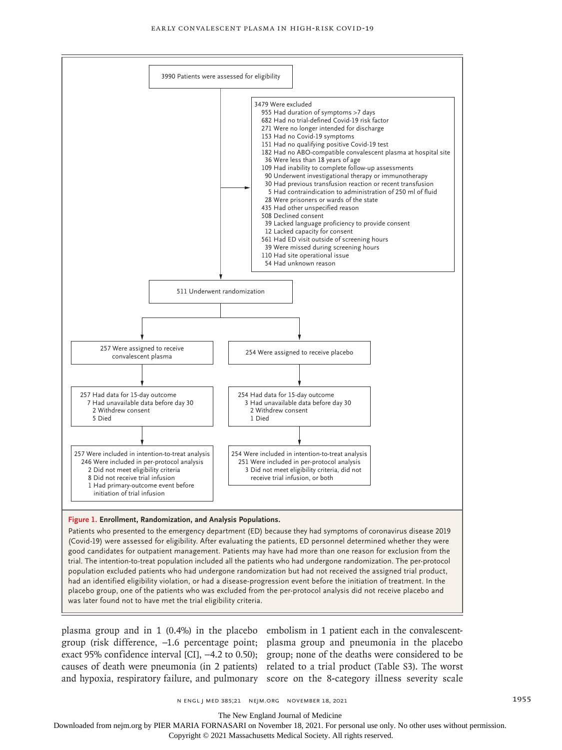

Patients who presented to the emergency department (ED) because they had symptoms of coronavirus disease 2019 (Covid-19) were assessed for eligibility. After evaluating the patients, ED personnel determined whether they were good candidates for outpatient management. Patients may have had more than one reason for exclusion from the trial. The intention-to-treat population included all the patients who had undergone randomization. The per-protocol population excluded patients who had undergone randomization but had not received the assigned trial product, had an identified eligibility violation, or had a disease-progression event before the initiation of treatment. In the placebo group, one of the patients who was excluded from the per-protocol analysis did not receive placebo and was later found not to have met the trial eligibility criteria.

plasma group and in 1 (0.4%) in the placebo embolism in 1 patient each in the convalescentgroup (risk difference, −1.6 percentage point; plasma group and pneumonia in the placebo exact 95% confidence interval [CI], −4.2 to 0.50); group; none of the deaths were considered to be causes of death were pneumonia (in 2 patients) related to a trial product (Table S3). The worst and hypoxia, respiratory failure, and pulmonary score on the 8-category illness severity scale

The New England Journal of Medicine

Downloaded from nejm.org by PIER MARIA FORNASARI on November 18, 2021. For personal use only. No other uses without permission.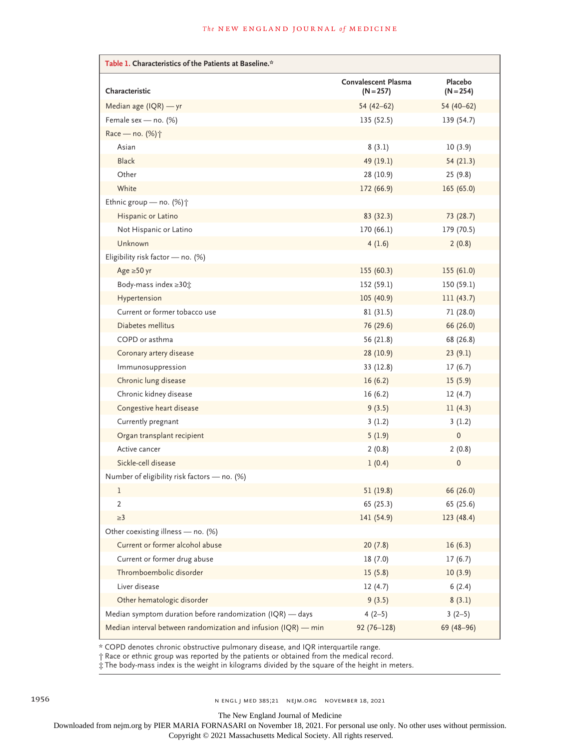| Table 1. Characteristics of the Patients at Baseline.*         |                                           |                        |  |  |  |  |
|----------------------------------------------------------------|-------------------------------------------|------------------------|--|--|--|--|
| Characteristic                                                 | <b>Convalescent Plasma</b><br>$(N = 257)$ | Placebo<br>$(N = 254)$ |  |  |  |  |
| Median age (IQR) - yr                                          | $54(42-62)$                               | $54(40-62)$            |  |  |  |  |
| Female sex - no. (%)                                           | 135(52.5)                                 | 139(54.7)              |  |  |  |  |
| Race - no. (%) <sup>+</sup>                                    |                                           |                        |  |  |  |  |
| Asian                                                          | 8(3.1)                                    | 10(3.9)                |  |  |  |  |
| <b>Black</b>                                                   | 49 (19.1)                                 | 54 (21.3)              |  |  |  |  |
| Other                                                          | 28 (10.9)                                 | 25(9.8)                |  |  |  |  |
| White                                                          | 172 (66.9)                                | 165(65.0)              |  |  |  |  |
| Ethnic group - no. (%) +                                       |                                           |                        |  |  |  |  |
| Hispanic or Latino                                             | 83 (32.3)                                 | 73 (28.7)              |  |  |  |  |
| Not Hispanic or Latino                                         | 170 (66.1)                                | 179 (70.5)             |  |  |  |  |
| Unknown                                                        | 4(1.6)                                    | 2(0.8)                 |  |  |  |  |
| Eligibility risk factor - no. (%)                              |                                           |                        |  |  |  |  |
| Age $\geq 50$ yr                                               | 155(60.3)                                 | 155 (61.0)             |  |  |  |  |
| Body-mass index ≥30;                                           | 152 (59.1)                                | 150(59.1)              |  |  |  |  |
| Hypertension                                                   | 105 (40.9)                                | 111(43.7)              |  |  |  |  |
| Current or former tobacco use                                  | 81 (31.5)                                 | 71 (28.0)              |  |  |  |  |
| Diabetes mellitus                                              | 76 (29.6)                                 | 66 (26.0)              |  |  |  |  |
| COPD or asthma                                                 | 56 (21.8)                                 | 68 (26.8)              |  |  |  |  |
| Coronary artery disease                                        | 28 (10.9)                                 | 23(9.1)                |  |  |  |  |
| Immunosuppression                                              | 33 (12.8)                                 | 17(6.7)                |  |  |  |  |
| Chronic lung disease                                           | 16(6.2)                                   | 15(5.9)                |  |  |  |  |
| Chronic kidney disease                                         | 16(6.2)                                   | 12(4.7)                |  |  |  |  |
| Congestive heart disease                                       | 9(3.5)                                    | 11(4.3)                |  |  |  |  |
| Currently pregnant                                             | 3(1.2)                                    | 3(1.2)                 |  |  |  |  |
| Organ transplant recipient                                     | 5(1.9)                                    | 0                      |  |  |  |  |
| Active cancer                                                  | 2(0.8)                                    | 2(0.8)                 |  |  |  |  |
| Sickle-cell disease                                            | 1(0.4)                                    | $\mathbf{0}$           |  |  |  |  |
| Number of eligibility risk factors - no. (%)                   |                                           |                        |  |  |  |  |
| 1                                                              | 51 (19.8)                                 | 66 (26.0)              |  |  |  |  |
| 2                                                              | 65 (25.3)                                 | 65 (25.6)              |  |  |  |  |
| $\geq$ 3                                                       | 141 (54.9)                                | 123 (48.4)             |  |  |  |  |
| Other coexisting illness - no. (%)                             |                                           |                        |  |  |  |  |
| Current or former alcohol abuse                                | 20(7.8)                                   | 16(6.3)                |  |  |  |  |
| Current or former drug abuse                                   | 18(7.0)                                   | 17(6.7)                |  |  |  |  |
| Thromboembolic disorder                                        | 15(5.8)                                   | 10(3.9)                |  |  |  |  |
| Liver disease                                                  | 12(4.7)                                   | 6(2.4)                 |  |  |  |  |
| Other hematologic disorder                                     | 9(3.5)                                    | 8(3.1)                 |  |  |  |  |
| Median symptom duration before randomization (IQR) - days      | $4(2-5)$                                  | $3(2-5)$               |  |  |  |  |
| Median interval between randomization and infusion (IQR) - min | $92(76 - 128)$                            | 69 (48-96)             |  |  |  |  |

\* COPD denotes chronic obstructive pulmonary disease, and IQR interquartile range.

† Race or ethnic group was reported by the patients or obtained from the medical record.

‡ The body-mass index is the weight in kilograms divided by the square of the height in meters.

The New England Journal of Medicine

Downloaded from nejm.org by PIER MARIA FORNASARI on November 18, 2021. For personal use only. No other uses without permission.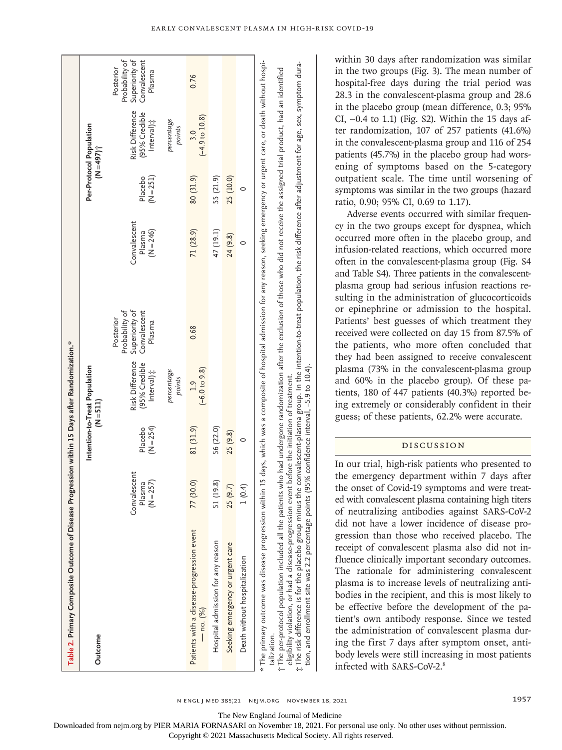| Table 2. Primary Composite Outcome of Disease                                                                                                                                                                                                                                                                                                                                                |                                     |                        | Progression within 15 Days after Randomization.*         |                                                                         |                                       |                        |                                                |                                                                         |
|----------------------------------------------------------------------------------------------------------------------------------------------------------------------------------------------------------------------------------------------------------------------------------------------------------------------------------------------------------------------------------------------|-------------------------------------|------------------------|----------------------------------------------------------|-------------------------------------------------------------------------|---------------------------------------|------------------------|------------------------------------------------|-------------------------------------------------------------------------|
| Outcome                                                                                                                                                                                                                                                                                                                                                                                      |                                     |                        | Intention-to-Treat Population<br>$(N = 511)$             |                                                                         |                                       |                        | Per-Protocol Population<br>$(N = 497)$         |                                                                         |
|                                                                                                                                                                                                                                                                                                                                                                                              | Convalescent<br>$N = 257$<br>Plasma | $(N = 254)$<br>Placebo | Risk Difference<br>(95% Credible<br>Interval) $\ddot{x}$ | Superiority of<br>Probability of<br>Convalescent<br>Posterior<br>Plasma | Convalescent<br>$(N = 246)$<br>Plasma | $(N = 251)$<br>Placebo | Risk Difference<br>(95% Credible<br>lnterval)‡ | Probability of<br>Superiority of<br>Convalescent<br>Posterior<br>Plasma |
|                                                                                                                                                                                                                                                                                                                                                                                              |                                     |                        | percentage<br>points                                     |                                                                         |                                       |                        | percentage<br>points                           |                                                                         |
| Patients with a disease-progression event<br>$-$ no. $(%)$                                                                                                                                                                                                                                                                                                                                   | (30.0)                              | 81 (31.9)              | $(-6.0 to 9.8)$<br>1.9                                   | 0.68                                                                    | 71 (28.9)                             | 80 (31.9)              | $(-4.9 \text{ to } 10.8)$<br>3.0               | 0.76                                                                    |
| Hospital admission for any reason                                                                                                                                                                                                                                                                                                                                                            | (19.8)                              | 56 (22.0)              |                                                          |                                                                         | 47 (19.1)                             | 55 (21.9)              |                                                |                                                                         |
| Seeking emergency or urgent care                                                                                                                                                                                                                                                                                                                                                             | 25(9.7)                             | 25 (9.8)               |                                                          |                                                                         | 24 (9.8)                              | 25 (10.0)              |                                                |                                                                         |
| Death without hospitalization                                                                                                                                                                                                                                                                                                                                                                | 1(0.4)                              | 0                      |                                                          |                                                                         |                                       |                        |                                                |                                                                         |
| * The primary outcome was disease progression within 15 days, which was a composite of hospital admission for any reason, seeking emergency or urgent care, or death without hospi-<br>t The per-protocol population included all the patients who had undergone randomization after the exclusion of those who did not receive the assigned trial product, had an identified<br>talization. |                                     |                        |                                                          |                                                                         |                                       |                        |                                                |                                                                         |

eligibility violation, or had a disease-progression event before the initiation of treatment.<br>The risk difference is for the placebo group minus the convalescent-plasma group. In the intention-to-treat population, the risk  $\ddagger$  The risk difference is for the placebo group minus the convalescent-plasma group. In the intention-to-treat population, the risk difference after adjustment for age, sex, symptom duration, and enrollment site was 2.2 percentage points (95% confidence interval, −5.9 to 10.4). eligibility violation, or had a disease-progression event before the initiation of treatment.

within 30 days after randomization was similar in the two groups (Fig. 3). The mean number of hospital-free days during the trial period was 28.3 in the convalescent-plasma group and 28.6 in the placebo group (mean difference, 0.3; 95% CI, −0.4 to 1.1) (Fig. S2). Within the 15 days after randomization, 107 of 257 patients (41.6%) in the convalescent-plasma group and 116 of 254 patients (45.7%) in the placebo group had worsening of symptoms based on the 5-category outpatient scale. The time until worsening of symptoms was similar in the two groups (hazard ratio, 0.90; 95% CI, 0.69 to 1.17).

Adverse events occurred with similar frequency in the two groups except for dyspnea, which occurred more often in the placebo group, and infusion-related reactions, which occurred more often in the convalescent-plasma group (Fig. S4 and Table S4). Three patients in the convalescentplasma group had serious infusion reactions resulting in the administration of glucocorticoids or epinephrine or admission to the hospital. Patients' best guesses of which treatment they received were collected on day 15 from 87.5% of the patients, who more often concluded that they had been assigned to receive convalescent plasma (73% in the convalescent-plasma group and 60% in the placebo group). Of these patients, 180 of 447 patients (40.3%) reported being extremely or considerably confident in their guess; of these patients, 62.2% were accurate.

# Discussion

In our trial, high-risk patients who presented to the emergency department within 7 days after the onset of Covid-19 symptoms and were treated with convalescent plasma containing high titers of neutralizing antibodies against SARS-CoV-2 did not have a lower incidence of disease progression than those who received placebo. The receipt of convalescent plasma also did not influence clinically important secondary outcomes. The rationale for administering convalescent plasma is to increase levels of neutralizing antibodies in the recipient, and this is most likely to be effective before the development of the patient's own antibody response. Since we tested the administration of convalescent plasma during the first 7 days after symptom onset, antibody levels were still increasing in most patients infected with SARS-CoV-2. 8

n engl j med 385;21 nejm.org November 18, 2021 1957

The New England Journal of Medicine

Downloaded from nejm.org by PIER MARIA FORNASARI on November 18, 2021. For personal use only. No other uses without permission.

Copyright © 2021 Massachusetts Medical Society. All rights reserved.

‡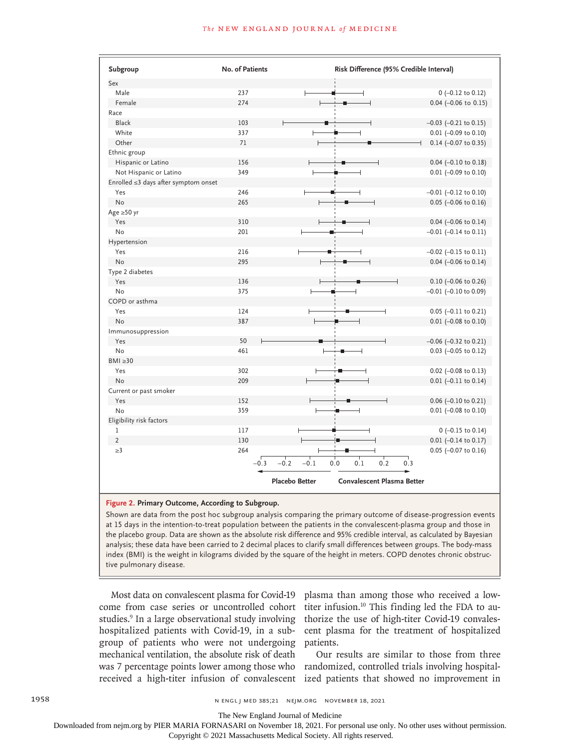| Subgroup                             | No. of Patients | Risk Difference (95% Credible Interval)                    |                               |
|--------------------------------------|-----------------|------------------------------------------------------------|-------------------------------|
| Sex                                  |                 |                                                            |                               |
| Male                                 | 237             |                                                            | $0$ (-0.12 to 0.12)           |
| Female                               | 274             |                                                            | $0.04$ (-0.06 to 0.15)        |
| Race                                 |                 |                                                            |                               |
| <b>Black</b>                         | 103             |                                                            | $-0.03$ $(-0.21$ to $0.15)$   |
| White                                | 337             |                                                            | $0.01$ (-0.09 to 0.10)        |
| Other                                | 71              |                                                            | $0.14$ (-0.07 to 0.35)        |
| Ethnic group                         |                 |                                                            |                               |
| Hispanic or Latino                   | 156             |                                                            | $0.04$ (-0.10 to 0.18)        |
| Not Hispanic or Latino               | 349             |                                                            | $0.01$ (-0.09 to 0.10)        |
| Enrolled ≤3 days after symptom onset |                 |                                                            |                               |
| Yes                                  | 246             |                                                            | $-0.01$ ( $-0.12$ to 0.10)    |
| <b>No</b>                            | 265             |                                                            | $0.05$ (-0.06 to 0.16)        |
| Age $\geq 50$ yr                     |                 |                                                            |                               |
| Yes                                  | 310             |                                                            | $0.04$ (-0.06 to 0.14)        |
| No                                   | 201             |                                                            | $-0.01$ $(-0.14$ to $0.11)$   |
| Hypertension                         |                 |                                                            |                               |
| Yes                                  | 216             |                                                            | $-0.02$ ( $-0.15$ to $0.11$ ) |
| <b>No</b>                            | 295             |                                                            | $0.04$ (-0.06 to 0.14)        |
| Type 2 diabetes                      |                 |                                                            |                               |
| Yes                                  | 136             |                                                            | $0.10$ (-0.06 to 0.26)        |
| No                                   | 375             |                                                            | $-0.01$ ( $-0.10$ to 0.09)    |
| COPD or asthma                       |                 |                                                            |                               |
| Yes                                  | 124             |                                                            | $0.05$ (-0.11 to 0.21)        |
| <b>No</b>                            | 387             |                                                            | $0.01$ (-0.08 to 0.10)        |
| Immunosuppression                    |                 |                                                            |                               |
| Yes                                  | 50              |                                                            | $-0.06$ $(-0.32$ to 0.21)     |
| No                                   | 461             |                                                            | $0.03$ (-0.05 to 0.12)        |
| $BMI \geq 30$                        |                 |                                                            |                               |
| Yes                                  | 302             |                                                            | $0.02$ (-0.08 to 0.13)        |
| <b>No</b>                            | 209             |                                                            | $0.01$ (-0.11 to 0.14)        |
| Current or past smoker               |                 |                                                            |                               |
| Yes                                  | 152             |                                                            | $0.06$ (-0.10 to 0.21)        |
| No                                   | 359             |                                                            | $0.01$ (-0.08 to 0.10)        |
| Eligibility risk factors             |                 |                                                            |                               |
| $\mathbf{1}$                         | 117             |                                                            | $0$ (-0.15 to 0.14)           |
| $\overline{2}$                       | 130             |                                                            | $0.01$ (-0.14 to 0.17)        |
| $\geq$ 3                             | 264             |                                                            | $0.05$ (-0.07 to 0.16)        |
|                                      |                 |                                                            |                               |
|                                      | $-0.3$          | 0.2<br>$-0.2$<br>$-0.1$<br>0.1<br>0.0<br>0.3               |                               |
|                                      |                 | <b>Placebo Better</b><br><b>Convalescent Plasma Better</b> |                               |

#### **Figure 2. Primary Outcome, According to Subgroup.**

Shown are data from the post hoc subgroup analysis comparing the primary outcome of disease-progression events at 15 days in the intention-to-treat population between the patients in the convalescent-plasma group and those in the placebo group. Data are shown as the absolute risk difference and 95% credible interval, as calculated by Bayesian analysis; these data have been carried to 2 decimal places to clarify small differences between groups. The body-mass index (BMI) is the weight in kilograms divided by the square of the height in meters. COPD denotes chronic obstructive pulmonary disease.

Most data on convalescent plasma for Covid-19 come from case series or uncontrolled cohort studies.<sup>9</sup> In a large observational study involving hospitalized patients with Covid-19, in a subgroup of patients who were not undergoing mechanical ventilation, the absolute risk of death

plasma than among those who received a lowtiter infusion.10 This finding led the FDA to authorize the use of high-titer Covid-19 convalescent plasma for the treatment of hospitalized patients.

was 7 percentage points lower among those who randomized, controlled trials involving hospitalreceived a high-titer infusion of convalescent ized patients that showed no improvement in Our results are similar to those from three

1958 **n engl j med 385;21 n engl j med 385;21 n** engl j med 385;21 n engl n engl data is a 2021

The New England Journal of Medicine

Downloaded from nejm.org by PIER MARIA FORNASARI on November 18, 2021. For personal use only. No other uses without permission.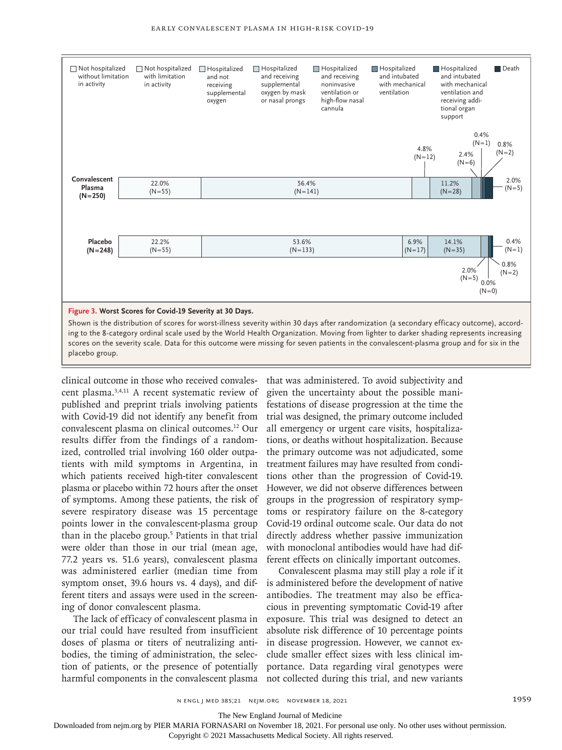

clinical outcome in those who received convalescent plasma.3,4,11 A recent systematic review of published and preprint trials involving patients with Covid-19 did not identify any benefit from convalescent plasma on clinical outcomes.12 Our results differ from the findings of a randomized, controlled trial involving 160 older outpatients with mild symptoms in Argentina, in which patients received high-titer convalescent plasma or placebo within 72 hours after the onset of symptoms. Among these patients, the risk of severe respiratory disease was 15 percentage points lower in the convalescent-plasma group than in the placebo group.<sup>5</sup> Patients in that trial were older than those in our trial (mean age, 77.2 years vs. 51.6 years), convalescent plasma was administered earlier (median time from symptom onset, 39.6 hours vs. 4 days), and different titers and assays were used in the screening of donor convalescent plasma.

The lack of efficacy of convalescent plasma in our trial could have resulted from insufficient doses of plasma or titers of neutralizing antibodies, the timing of administration, the selection of patients, or the presence of potentially harmful components in the convalescent plasma that was administered. To avoid subjectivity and given the uncertainty about the possible manifestations of disease progression at the time the trial was designed, the primary outcome included all emergency or urgent care visits, hospitalizations, or deaths without hospitalization. Because the primary outcome was not adjudicated, some treatment failures may have resulted from conditions other than the progression of Covid-19. However, we did not observe differences between groups in the progression of respiratory symptoms or respiratory failure on the 8-category Covid-19 ordinal outcome scale. Our data do not directly address whether passive immunization with monoclonal antibodies would have had different effects on clinically important outcomes.

Convalescent plasma may still play a role if it is administered before the development of native antibodies. The treatment may also be efficacious in preventing symptomatic Covid-19 after exposure. This trial was designed to detect an absolute risk difference of 10 percentage points in disease progression. However, we cannot exclude smaller effect sizes with less clinical importance. Data regarding viral genotypes were not collected during this trial, and new variants

The New England Journal of Medicine

Downloaded from nejm.org by PIER MARIA FORNASARI on November 18, 2021. For personal use only. No other uses without permission.